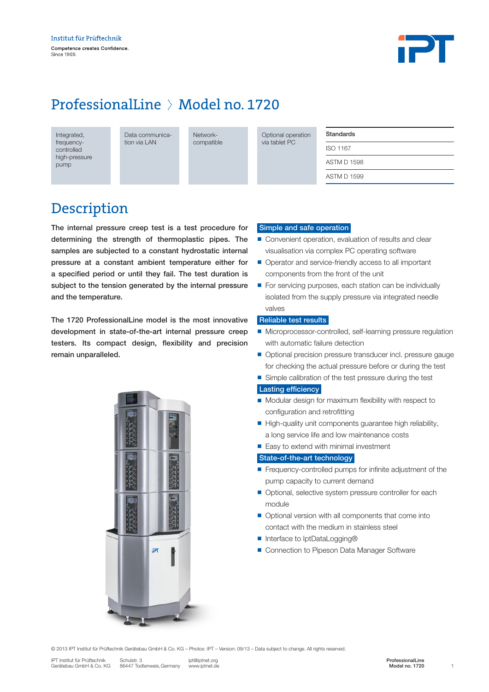

## ProfessionalLine > Model no. 1720

Integrated, frequencycontrolled high-pressure pump

Data communication via LAN

Networkcompatible

Optional operation via tablet PC

#### Standards

ISO 1167 ASTM D 1598 ASTM D 1599

### Description

The internal pressure creep test is a test procedure for determining the strength of thermoplastic pipes. The samples are subjected to a constant hydrostatic internal pressure at a constant ambient temperature either for a specified period or until they fail. The test duration is subject to the tension generated by the internal pressure and the temperature.

The 1720 ProfessionalLine model is the most innovative development in state-of-the-art internal pressure creep testers. Its compact design, flexibility and precision remain unparalleled.



#### Simple and safe operation

- Convenient operation, evaluation of results and clear visualisation via complex PC operating software
- Operator and service-friendly access to all important components from the front of the unit
- For servicing purposes, each station can be individually isolated from the supply pressure via integrated needle valves

#### Reliable test results

- Microprocessor-controlled, self-learning pressure regulation with automatic failure detection
- Optional precision pressure transducer incl. pressure gauge for checking the actual pressure before or during the test
- Simple calibration of the test pressure during the test

#### **Lasting efficiency**

- Modular design for maximum flexibility with respect to configuration and retrofitting
- n High-quality unit components guarantee high reliability, a long service life and low maintenance costs
- $\blacksquare$  Easy to extend with minimal investment

#### State-of-the-art technology

- $\blacksquare$  Frequency-controlled pumps for infinite adjustment of the pump capacity to current demand
- Optional, selective system pressure controller for each module
- $\blacksquare$  Optional version with all components that come into contact with the medium in stainless steel
- Interface to IptDataLogging®
- Connection to Pipeson Data Manager Software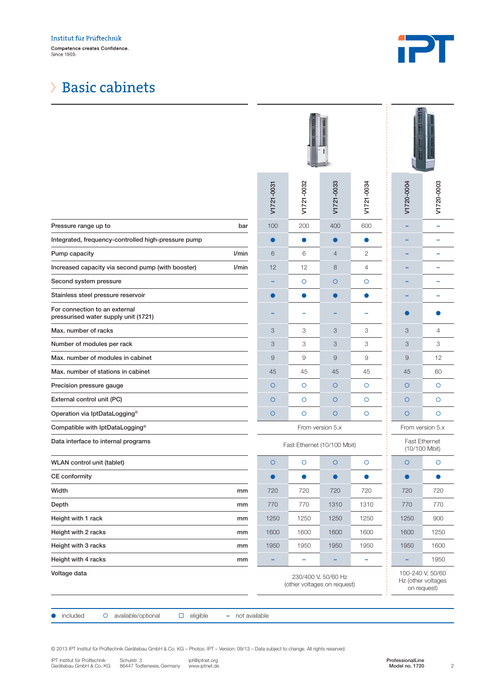### Institut für Prüftechnik Competence creates Confidence.<br>Since 1969.



### Basic cabinets

|                                                                                                                                                                                                                                                                                     | V1721-0031                                                                                                  | V1721-0032 | V1721-0033 | V1721-0034 | V1720-0004                         | V1720-0003     |
|-------------------------------------------------------------------------------------------------------------------------------------------------------------------------------------------------------------------------------------------------------------------------------------|-------------------------------------------------------------------------------------------------------------|------------|------------|------------|------------------------------------|----------------|
| Pressure range up to<br>bar                                                                                                                                                                                                                                                         | 100                                                                                                         | 200        | 400        | 600        |                                    | ۰              |
| Integrated, frequency-controlled high-pressure pump                                                                                                                                                                                                                                 | $\bullet$                                                                                                   | $\bullet$  | $\bullet$  | $\bullet$  |                                    |                |
| l/min<br>Pump capacity                                                                                                                                                                                                                                                              | 6                                                                                                           | 6          | 4          | 2          |                                    |                |
| Increased capacity via second pump (with booster)<br>l/min                                                                                                                                                                                                                          | 12                                                                                                          | 12         | 8          | 4          |                                    |                |
| Second system pressure                                                                                                                                                                                                                                                              |                                                                                                             | $\circ$    | $\circ$    | O          |                                    |                |
| Stainless steel pressure reservoir                                                                                                                                                                                                                                                  | $\bullet$                                                                                                   | $\bullet$  | $\bullet$  | $\bullet$  |                                    |                |
| For connection to an external<br>pressurised water supply unit (1721)                                                                                                                                                                                                               |                                                                                                             |            |            |            |                                    |                |
| Max, number of racks                                                                                                                                                                                                                                                                | 3                                                                                                           | 3          | 3          | 3          | 3                                  | $\overline{4}$ |
| Number of modules per rack                                                                                                                                                                                                                                                          | 3                                                                                                           | 3          | 3          | 3          | 3                                  | 3              |
| Max. number of modules in cabinet                                                                                                                                                                                                                                                   | $\mathsf g$                                                                                                 | 9          | 9          | 9          | $\mathsf g$                        | 12             |
| Max. number of stations in cabinet                                                                                                                                                                                                                                                  | 45                                                                                                          | 45         | 45         | 45         | 45                                 | 60             |
| Precision pressure gauge                                                                                                                                                                                                                                                            | $\circ$                                                                                                     | $\circ$    | $\circ$    | $\circ$    | $\circ$                            | $\circ$        |
| External control unit (PC)                                                                                                                                                                                                                                                          | $\circ$                                                                                                     | $\circ$    | $\circ$    | O          | $\circ$                            | $\circ$        |
| Operation via IptDataLogging®                                                                                                                                                                                                                                                       | $\circ$                                                                                                     | $\circ$    | $\circ$    | $\circ$    | $\circ$                            | $\circ$        |
| Compatible with IptDataLogging®                                                                                                                                                                                                                                                     | From version 5.x                                                                                            |            |            |            | From version 5.x                   |                |
| Data interface to internal programs                                                                                                                                                                                                                                                 | <b>Fast Ethernet</b><br>Fast Ethernet (10/100 Mbit)<br>(10/100 Mbit)                                        |            |            |            |                                    |                |
| WLAN control unit (tablet)                                                                                                                                                                                                                                                          | $\circ$                                                                                                     | $\circ$    | $\circ$    | $\circ$    | $\circ$                            | O              |
| <b>CE</b> conformity                                                                                                                                                                                                                                                                | $\bullet$                                                                                                   | $\bullet$  | $\bullet$  | $\bullet$  | ●                                  | $\bullet$      |
| Width<br>mm                                                                                                                                                                                                                                                                         | 720                                                                                                         | 720        | 720        | 720        | 720                                | 720            |
| Depth<br>mm                                                                                                                                                                                                                                                                         | 770                                                                                                         | 770        | 1310       | 1310       | 770                                | 770            |
| Height with 1 rack<br>mm                                                                                                                                                                                                                                                            | 1250                                                                                                        | 1250       | 1250       | 1250       | 1250                               | 900            |
| Height with 2 racks<br>mm                                                                                                                                                                                                                                                           | 1600                                                                                                        | 1600       | 1600       | 1600       | 1600                               | 1250           |
| Height with 3 racks<br>mm                                                                                                                                                                                                                                                           | 1950                                                                                                        | 1950       | 1950       | 1950       | 1950                               | 1600           |
| Height with 4 racks<br>mm                                                                                                                                                                                                                                                           |                                                                                                             | ۰          |            | ۰          |                                    | 1950           |
| Voltage data                                                                                                                                                                                                                                                                        | 100-240 V, 50/60<br>230/400 V, 50/60 Hz<br>Hz (other voltages<br>(other voltages on request)<br>on request) |            |            |            |                                    |                |
| included<br>O<br>available/optional<br>$\Box$<br>eligible<br>۰                                                                                                                                                                                                                      | not available                                                                                               |            |            |            |                                    |                |
| © 2013 IPT Institut für Prüftechnik Gerätebau GmbH & Co. KG - Photos: IPT - Version: 09/13 - Data subject to change. All rights reserved.<br>IPT Institut für Prüftechnik<br>Schulstr. 3<br>ipt@iptnet.org<br>Gerätebau GmbH & Co. KG<br>86447 Todtenweis, Germany<br>www.iptnet.de |                                                                                                             |            |            |            | ProfessionalLine<br>Model no. 1720 | $\overline{c}$ |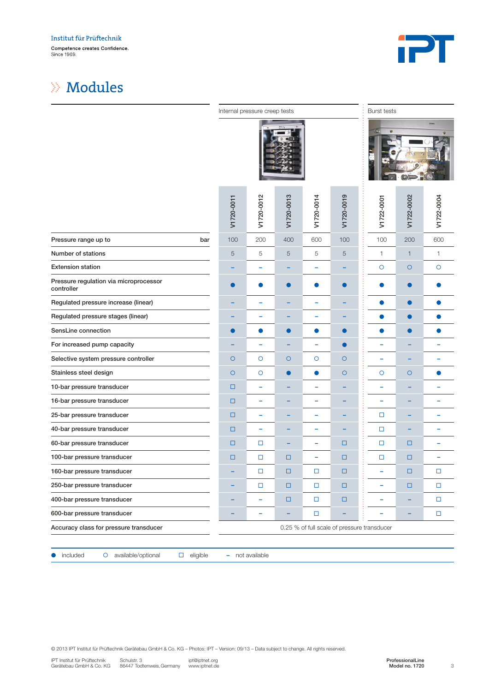

### $\gg$  Modules

|                                                      | Internal pressure creep tests               |            |            |            | <b>Burst tests</b> |            |              |            |
|------------------------------------------------------|---------------------------------------------|------------|------------|------------|--------------------|------------|--------------|------------|
|                                                      |                                             |            |            |            |                    |            |              |            |
|                                                      | V1720-0011                                  | V1720-0012 | V1720-0013 | V1720-0014 | V1720-0019         | V1722-0001 | V1722-0002   | V1722-0004 |
| Pressure range up to<br>bar                          | 100                                         | 200        | 400        | 600        | 100                | 100        | 200          | 600        |
| Number of stations                                   | 5                                           | 5          | 5          | 5          | 5                  | 1          | $\mathbf{1}$ | 1          |
| <b>Extension station</b>                             |                                             | -          |            | ۰          |                    | $\circ$    | $\circ$      | $\circ$    |
| Pressure regulation via microprocessor<br>controller | $\bullet$                                   | О          | $\bullet$  | $\bullet$  | $\bullet$          | $\bullet$  | $\bullet$    |            |
| Regulated pressure increase (linear)                 |                                             | -          |            | ۰          |                    | $\bullet$  | $\bullet$    | n          |
| Regulated pressure stages (linear)                   |                                             | -          |            | ۰          |                    | $\bullet$  | 0            |            |
| SensLine connection                                  | $\bullet$                                   | $\bullet$  | С.         | $\bullet$  |                    | $\bullet$  | O            |            |
| For increased pump capacity                          |                                             | -          |            | ۰          |                    | -          |              |            |
| Selective system pressure controller                 | $\circ$                                     | $\circ$    | $\circ$    | O          | $\circ$            | ۰          |              |            |
| Stainless steel design                               | $\circ$                                     | O          | $\bullet$  | $\bullet$  | $\circ$            | $\circ$    | $\circ$      |            |
| 10-bar pressure transducer                           | $\Box$                                      | ۰          |            | ۰          |                    | -          |              |            |
| 16-bar pressure transducer                           | $\Box$                                      | ۰          |            | ۰          |                    | -          |              |            |
| 25-bar pressure transducer                           | $\Box$                                      | -          |            | ۰          |                    | □          |              |            |
| 40-bar pressure transducer                           | $\Box$                                      | -          |            | ۰          |                    | $\Box$     |              |            |
| 60-bar pressure transducer                           | $\Box$                                      | о          |            | ۰          | □                  | □          | $\Box$       | -          |
| 100-bar pressure transducer                          | $\Box$                                      | о          | $\Box$     | ۰          | □                  | □          | □            |            |
| 160-bar pressure transducer                          |                                             | □          | □          | $\Box$     | □                  | -          | □            | $\Box$     |
| 250-bar pressure transducer                          | -                                           | о          | $\Box$     | $\Box$     | $\Box$             | ۰          | $\Box$       | $\Box$     |
| 400-bar pressure transducer                          | ۰                                           | ۰          | $\Box$     | $\Box$     | $\Box$             | -          | -            | $\Box$     |
| 600-bar pressure transducer                          | ۰                                           |            |            | $\Box$     |                    |            |              | $\Box$     |
| Accuracy class for pressure transducer               | 0.25 % of full scale of pressure transducer |            |            |            |                    |            |              |            |
|                                                      |                                             |            |            |            |                    |            |              |            |

● included o available/optional □ eligible – not available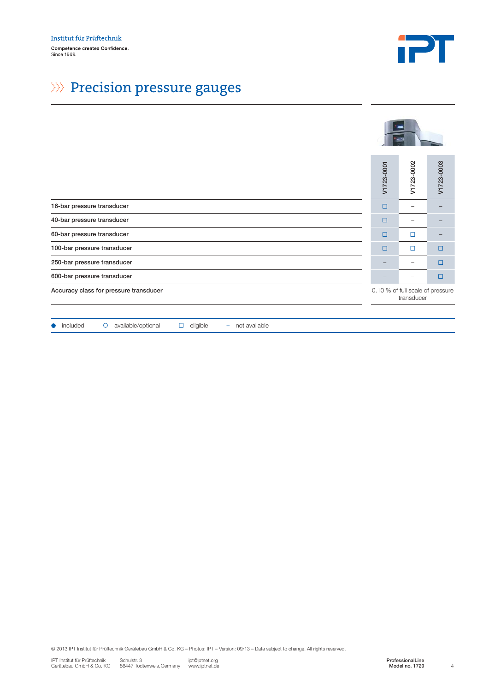

# $\gg$  Precision pressure gauges

|                                                                                                                                                                                                                                                                                     | V1723-0001               | V1723-0002                                     | V1723-0003     |
|-------------------------------------------------------------------------------------------------------------------------------------------------------------------------------------------------------------------------------------------------------------------------------------|--------------------------|------------------------------------------------|----------------|
| 16-bar pressure transducer                                                                                                                                                                                                                                                          | $\Box$                   | $\overline{\phantom{a}}$                       |                |
| 40-bar pressure transducer                                                                                                                                                                                                                                                          | $\Box$                   | $\overline{\phantom{a}}$                       |                |
| 60-bar pressure transducer                                                                                                                                                                                                                                                          | $\Box$                   | $\Box$                                         |                |
| 100-bar pressure transducer                                                                                                                                                                                                                                                         | $\Box$                   | $\Box$                                         | $\Box$         |
| 250-bar pressure transducer                                                                                                                                                                                                                                                         | $\overline{\phantom{0}}$ | $\overline{\phantom{m}}$                       | □              |
| 600-bar pressure transducer                                                                                                                                                                                                                                                         | $\equiv$                 | $\overline{\phantom{m}}$                       | $\Box$         |
| Accuracy class for pressure transducer                                                                                                                                                                                                                                              |                          | 0.10 % of full scale of pressure<br>transducer |                |
|                                                                                                                                                                                                                                                                                     |                          |                                                |                |
| included<br>O available/optional<br>$\Box$ eligible<br>- not available                                                                                                                                                                                                              |                          |                                                |                |
|                                                                                                                                                                                                                                                                                     |                          |                                                |                |
| © 2013 IPT Institut für Prüftechnik Gerätebau GmbH & Co. KG - Photos: IPT - Version: 09/13 - Data subject to change. All rights reserved.<br>IPT Institut für Prüftechnik<br>Schulstr. 3<br>ipt@iptnet.org<br>Gerätebau GmbH & Co. KG<br>86447 Todtenweis, Germany<br>www.iptnet.de |                          | ProfessionalLine<br>Model no. 1720             | $\overline{4}$ |